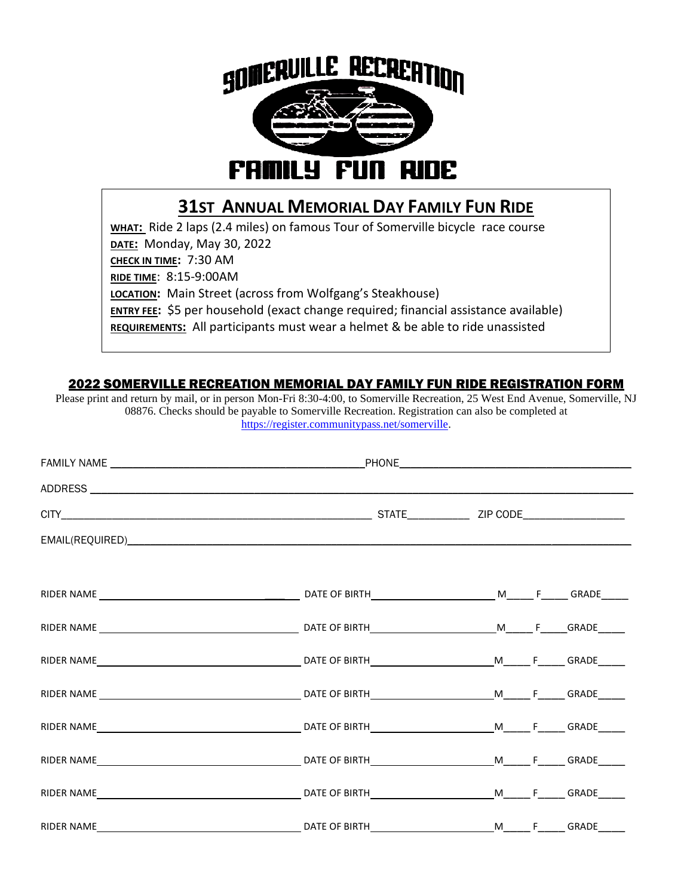

## **31ST ANNUAL MEMORIAL DAY FAMILY FUN RIDE**

**WHAT:** Ride 2 laps (2.4 miles) on famous Tour of Somerville bicycle race course **DATE:** Monday, May 30, 2022 **CHECK IN TIME:** 7:30 AM **RIDE TIME**: 8:15-9:00AM **LOCATION:** Main Street (across from Wolfgang's Steakhouse) **ENTRY FEE**: \$5 per household (exact change required; financial assistance available) **REQUIREMENTS:** All participants must wear a helmet & be able to ride unassisted

## 2022 SOMERVILLE RECREATION MEMORIAL DAY FAMILY FUN RIDE REGISTRATION FORM

Please print and return by mail, or in person Mon-Fri 8:30-4:00, to Somerville Recreation, 25 West End Avenue, Somerville, NJ 08876. Checks should be payable to Somerville Recreation. Registration can also be completed at [https://register.communitypass.net/somerville.](https://register.communitypass.net/somerville)